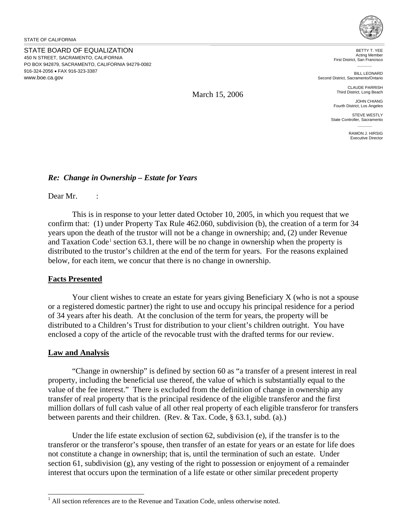STATE BOARD OF EQUALIZATION 450 N STREET, SACRAMENTO, CALIFORNIA PO BOX 942879, SACRAMENTO, CALIFORNIA 94279-0082 916-324-2056 • FAX 916-323-3387 <www.boe.ca.gov>



BETTY T. YEE Acting Member First District, San Francisco

BILL LEONARD Second District, Sacramento/Ontario

> CLAUDE PARRISH Third District, Long Beach

JOHN CHIANG Fourth District, Los Angeles

STEVE WESTLY State Controller, Sacramento

> RAMON J. HIRSIG Executive Director

## *Re: Change in Ownership – Estate for Years*

Dear Mr. :

This is in response to your letter dated October 10, 2005, in which you request that we confirm that: (1) under Property Tax Rule 462.060, subdivision (b), the creation of a term for 34 years upon the death of the trustor will not be a change in ownership; and, (2) under Revenue and Taxation Code<sup>[1](#page-0-0)</sup> section 63.1, there will be no change in ownership when the property is distributed to the trustor's children at the end of the term for years. For the reasons explained below, for each item, we concur that there is no change in ownership.

March 15, 2006

## **Facts Presented**

Your client wishes to create an estate for years giving Beneficiary X (who is not a spouse or a registered domestic partner) the right to use and occupy his principal residence for a period of 34 years after his death. At the conclusion of the term for years, the property will be distributed to a Children's Trust for distribution to your client's children outright. You have enclosed a copy of the article of the revocable trust with the drafted terms for our review.

## **Law and Analysis**

 $\overline{a}$ 

"Change in ownership" is defined by section 60 as "a transfer of a present interest in real property, including the beneficial use thereof, the value of which is substantially equal to the value of the fee interest." There is excluded from the definition of change in ownership any transfer of real property that is the principal residence of the eligible transferor and the first million dollars of full cash value of all other real property of each eligible transferor for transfers between parents and their children. (Rev. & Tax. Code, § 63.1, subd. (a).)

Under the life estate exclusion of section 62, subdivision (e), if the transfer is to the transferor or the transferor's spouse, then transfer of an estate for years or an estate for life does not constitute a change in ownership; that is, until the termination of such an estate. Under section 61, subdivision (g), any vesting of the right to possession or enjoyment of a remainder interest that occurs upon the termination of a life estate or other similar precedent property

<span id="page-0-0"></span> $<sup>1</sup>$  All section references are to the Revenue and Taxation Code, unless otherwise noted.</sup>